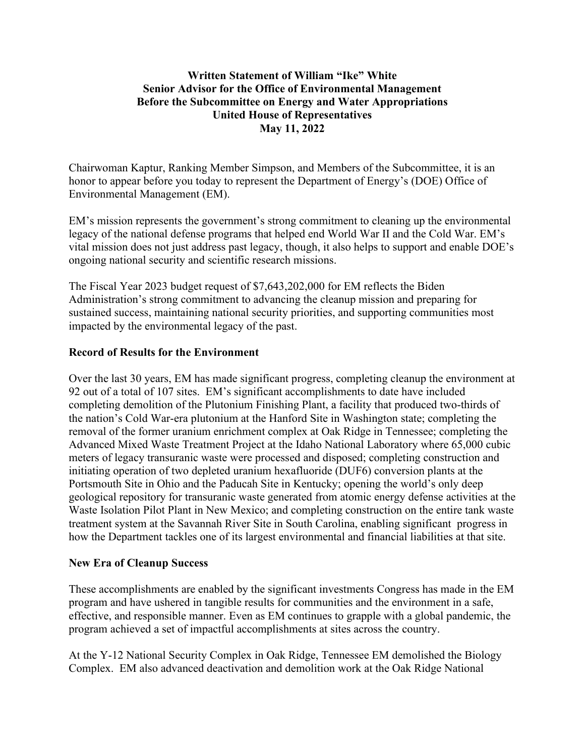# **Written Statement of William "Ike" White Senior Advisor for the Office of Environmental Management Before the Subcommittee on Energy and Water Appropriations United House of Representatives May 11, 2022**

Chairwoman Kaptur, Ranking Member Simpson, and Members of the Subcommittee, it is an honor to appear before you today to represent the Department of Energy's (DOE) Office of Environmental Management (EM).

EM's mission represents the government's strong commitment to cleaning up the environmental legacy of the national defense programs that helped end World War II and the Cold War. EM's vital mission does not just address past legacy, though, it also helps to support and enable DOE's ongoing national security and scientific research missions.

The Fiscal Year 2023 budget request of \$7,643,202,000 for EM reflects the Biden Administration's strong commitment to advancing the cleanup mission and preparing for sustained success, maintaining national security priorities, and supporting communities most impacted by the environmental legacy of the past.

## **Record of Results for the Environment**

Over the last 30 years, EM has made significant progress, completing cleanup the environment at 92 out of a total of 107 sites. EM's significant accomplishments to date have included completing demolition of the Plutonium Finishing Plant, a facility that produced two-thirds of the nation's Cold War-era plutonium at the Hanford Site in Washington state; completing the removal of the former uranium enrichment complex at Oak Ridge in Tennessee; completing the Advanced Mixed Waste Treatment Project at the Idaho National Laboratory where 65,000 cubic meters of legacy transuranic waste were processed and disposed; completing construction and initiating operation of two depleted uranium hexafluoride (DUF6) conversion plants at the Portsmouth Site in Ohio and the Paducah Site in Kentucky; opening the world's only deep geological repository for transuranic waste generated from atomic energy defense activities at the Waste Isolation Pilot Plant in New Mexico; and completing construction on the entire tank waste treatment system at the Savannah River Site in South Carolina, enabling significant progress in how the Department tackles one of its largest environmental and financial liabilities at that site.

### **New Era of Cleanup Success**

These accomplishments are enabled by the significant investments Congress has made in the EM program and have ushered in tangible results for communities and the environment in a safe, effective, and responsible manner. Even as EM continues to grapple with a global pandemic, the program achieved a set of impactful accomplishments at sites across the country.

At the Y-12 National Security Complex in Oak Ridge, Tennessee EM demolished the Biology Complex. EM also advanced deactivation and demolition work at the Oak Ridge National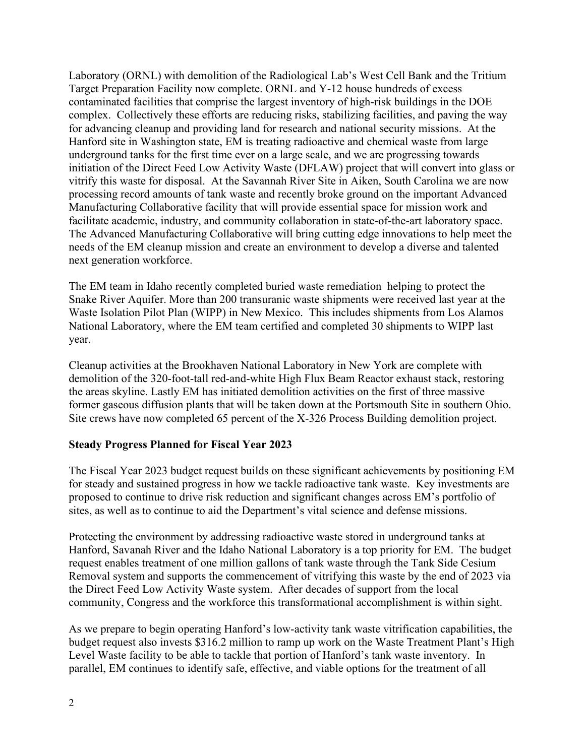Laboratory (ORNL) with demolition of the Radiological Lab's West Cell Bank and the Tritium Target Preparation Facility now complete. ORNL and Y-12 house hundreds of excess contaminated facilities that comprise the largest inventory of high-risk buildings in the DOE complex. Collectively these efforts are reducing risks, stabilizing facilities, and paving the way for advancing cleanup and providing land for research and national security missions. At the Hanford site in Washington state, EM is treating radioactive and chemical waste from large underground tanks for the first time ever on a large scale, and we are progressing towards initiation of the Direct Feed Low Activity Waste (DFLAW) project that will convert into glass or vitrify this waste for disposal. At the Savannah River Site in Aiken, South Carolina we are now processing record amounts of tank waste and recently broke ground on the important Advanced Manufacturing Collaborative facility that will provide essential space for mission work and facilitate academic, industry, and community collaboration in state-of-the-art laboratory space. The Advanced Manufacturing Collaborative will bring cutting edge innovations to help meet the needs of the EM cleanup mission and create an environment to develop a diverse and talented next generation workforce.

The EM team in Idaho recently completed buried waste remediation helping to protect the Snake River Aquifer. More than 200 transuranic waste shipments were received last year at the Waste Isolation Pilot Plan (WIPP) in New Mexico. This includes shipments from Los Alamos National Laboratory, where the EM team certified and completed 30 shipments to WIPP last year.

Cleanup activities at the Brookhaven National Laboratory in New York are complete with demolition of the 320-foot-tall red-and-white High Flux Beam Reactor exhaust stack, restoring the areas skyline. Lastly EM has initiated demolition activities on the first of three massive former gaseous diffusion plants that will be taken down at the Portsmouth Site in southern Ohio. Site crews have now completed 65 percent of the X-326 Process Building demolition project.

### **Steady Progress Planned for Fiscal Year 2023**

The Fiscal Year 2023 budget request builds on these significant achievements by positioning EM for steady and sustained progress in how we tackle radioactive tank waste. Key investments are proposed to continue to drive risk reduction and significant changes across EM's portfolio of sites, as well as to continue to aid the Department's vital science and defense missions.

Protecting the environment by addressing radioactive waste stored in underground tanks at Hanford, Savanah River and the Idaho National Laboratory is a top priority for EM. The budget request enables treatment of one million gallons of tank waste through the Tank Side Cesium Removal system and supports the commencement of vitrifying this waste by the end of 2023 via the Direct Feed Low Activity Waste system. After decades of support from the local community, Congress and the workforce this transformational accomplishment is within sight.

As we prepare to begin operating Hanford's low-activity tank waste vitrification capabilities, the budget request also invests \$316.2 million to ramp up work on the Waste Treatment Plant's High Level Waste facility to be able to tackle that portion of Hanford's tank waste inventory. In parallel, EM continues to identify safe, effective, and viable options for the treatment of all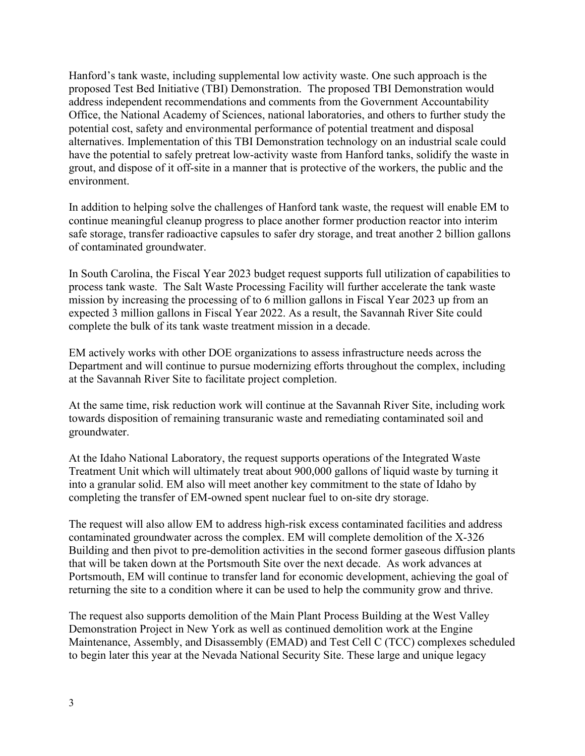Hanford's tank waste, including supplemental low activity waste. One such approach is the proposed Test Bed Initiative (TBI) Demonstration. The proposed TBI Demonstration would address independent recommendations and comments from the Government Accountability Office, the National Academy of Sciences, national laboratories, and others to further study the potential cost, safety and environmental performance of potential treatment and disposal alternatives. Implementation of this TBI Demonstration technology on an industrial scale could have the potential to safely pretreat low-activity waste from Hanford tanks, solidify the waste in grout, and dispose of it off-site in a manner that is protective of the workers, the public and the environment.

In addition to helping solve the challenges of Hanford tank waste, the request will enable EM to continue meaningful cleanup progress to place another former production reactor into interim safe storage, transfer radioactive capsules to safer dry storage, and treat another 2 billion gallons of contaminated groundwater.

In South Carolina, the Fiscal Year 2023 budget request supports full utilization of capabilities to process tank waste. The Salt Waste Processing Facility will further accelerate the tank waste mission by increasing the processing of to 6 million gallons in Fiscal Year 2023 up from an expected 3 million gallons in Fiscal Year 2022. As a result, the Savannah River Site could complete the bulk of its tank waste treatment mission in a decade.

EM actively works with other DOE organizations to assess infrastructure needs across the Department and will continue to pursue modernizing efforts throughout the complex, including at the Savannah River Site to facilitate project completion.

At the same time, risk reduction work will continue at the Savannah River Site, including work towards disposition of remaining transuranic waste and remediating contaminated soil and groundwater.

At the Idaho National Laboratory, the request supports operations of the Integrated Waste Treatment Unit which will ultimately treat about 900,000 gallons of liquid waste by turning it into a granular solid. EM also will meet another key commitment to the state of Idaho by completing the transfer of EM-owned spent nuclear fuel to on-site dry storage.

The request will also allow EM to address high-risk excess contaminated facilities and address contaminated groundwater across the complex. EM will complete demolition of the X-326 Building and then pivot to pre-demolition activities in the second former gaseous diffusion plants that will be taken down at the Portsmouth Site over the next decade. As work advances at Portsmouth, EM will continue to transfer land for economic development, achieving the goal of returning the site to a condition where it can be used to help the community grow and thrive.

The request also supports demolition of the Main Plant Process Building at the West Valley Demonstration Project in New York as well as continued demolition work at the Engine Maintenance, Assembly, and Disassembly (EMAD) and Test Cell C (TCC) complexes scheduled to begin later this year at the Nevada National Security Site. These large and unique legacy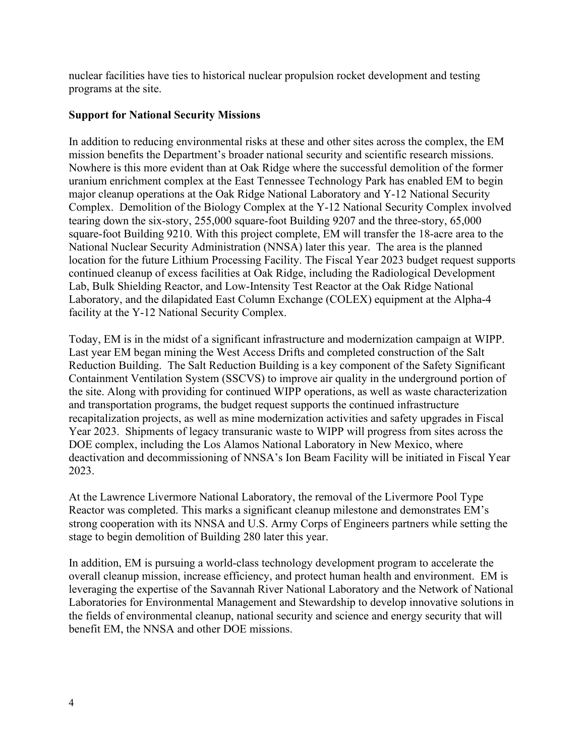nuclear facilities have ties to historical nuclear propulsion rocket development and testing programs at the site.

## **Support for National Security Missions**

In addition to reducing environmental risks at these and other sites across the complex, the EM mission benefits the Department's broader national security and scientific research missions. Nowhere is this more evident than at Oak Ridge where the successful demolition of the former uranium enrichment complex at the East Tennessee Technology Park has enabled EM to begin major cleanup operations at the Oak Ridge National Laboratory and Y-12 National Security Complex. Demolition of the Biology Complex at the Y-12 National Security Complex involved tearing down the six-story, 255,000 square-foot Building 9207 and the three-story, 65,000 square-foot Building 9210. With this project complete, EM will transfer the 18-acre area to the National Nuclear Security Administration (NNSA) later this year. The area is the planned location for the future Lithium Processing Facility. The Fiscal Year 2023 budget request supports continued cleanup of excess facilities at Oak Ridge, including the Radiological Development Lab, Bulk Shielding Reactor, and Low-Intensity Test Reactor at the Oak Ridge National Laboratory, and the dilapidated East Column Exchange (COLEX) equipment at the Alpha-4 facility at the Y-12 National Security Complex.

Today, EM is in the midst of a significant infrastructure and modernization campaign at WIPP. Last year EM began mining the West Access Drifts and completed construction of the Salt Reduction Building. The Salt Reduction Building is a key component of the Safety Significant Containment Ventilation System (SSCVS) to improve air quality in the underground portion of the site. Along with providing for continued WIPP operations, as well as waste characterization and transportation programs, the budget request supports the continued infrastructure recapitalization projects, as well as mine modernization activities and safety upgrades in Fiscal Year 2023. Shipments of legacy transuranic waste to WIPP will progress from sites across the DOE complex, including the Los Alamos National Laboratory in New Mexico, where deactivation and decommissioning of NNSA's Ion Beam Facility will be initiated in Fiscal Year 2023.

At the Lawrence Livermore National Laboratory, the removal of the Livermore Pool Type Reactor was completed. This marks a significant cleanup milestone and demonstrates EM's strong cooperation with its NNSA and U.S. Army Corps of Engineers partners while setting the stage to begin demolition of Building 280 later this year.

In addition, EM is pursuing a world-class technology development program to accelerate the overall cleanup mission, increase efficiency, and protect human health and environment. EM is leveraging the expertise of the Savannah River National Laboratory and the Network of National Laboratories for Environmental Management and Stewardship to develop innovative solutions in the fields of environmental cleanup, national security and science and energy security that will benefit EM, the NNSA and other DOE missions.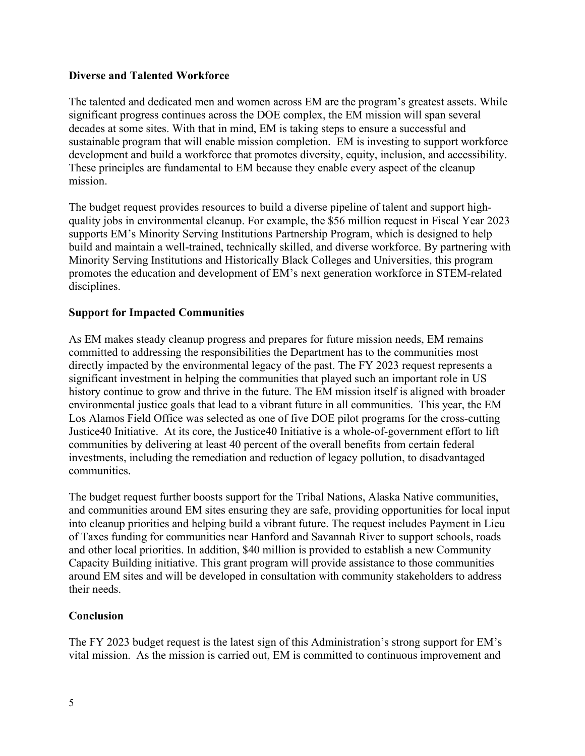## **Diverse and Talented Workforce**

The talented and dedicated men and women across EM are the program's greatest assets. While significant progress continues across the DOE complex, the EM mission will span several decades at some sites. With that in mind, EM is taking steps to ensure a successful and sustainable program that will enable mission completion. EM is investing to support workforce development and build a workforce that promotes diversity, equity, inclusion, and accessibility. These principles are fundamental to EM because they enable every aspect of the cleanup mission.

The budget request provides resources to build a diverse pipeline of talent and support highquality jobs in environmental cleanup. For example, the \$56 million request in Fiscal Year 2023 supports EM's Minority Serving Institutions Partnership Program, which is designed to help build and maintain a well-trained, technically skilled, and diverse workforce. By partnering with Minority Serving Institutions and Historically Black Colleges and Universities, this program promotes the education and development of EM's next generation workforce in STEM-related disciplines.

# **Support for Impacted Communities**

As EM makes steady cleanup progress and prepares for future mission needs, EM remains committed to addressing the responsibilities the Department has to the communities most directly impacted by the environmental legacy of the past. The FY 2023 request represents a significant investment in helping the communities that played such an important role in US history continue to grow and thrive in the future. The EM mission itself is aligned with broader environmental justice goals that lead to a vibrant future in all communities. This year, the EM Los Alamos Field Office was selected as one of five DOE pilot programs for the cross-cutting Justice40 Initiative. At its core, the Justice40 Initiative is a whole-of-government effort to lift communities by delivering at least 40 percent of the overall benefits from certain federal investments, including the remediation and reduction of legacy pollution, to disadvantaged communities.

The budget request further boosts support for the Tribal Nations, Alaska Native communities, and communities around EM sites ensuring they are safe, providing opportunities for local input into cleanup priorities and helping build a vibrant future. The request includes Payment in Lieu of Taxes funding for communities near Hanford and Savannah River to support schools, roads and other local priorities. In addition, \$40 million is provided to establish a new Community Capacity Building initiative. This grant program will provide assistance to those communities around EM sites and will be developed in consultation with community stakeholders to address their needs.

# **Conclusion**

The FY 2023 budget request is the latest sign of this Administration's strong support for EM's vital mission. As the mission is carried out, EM is committed to continuous improvement and